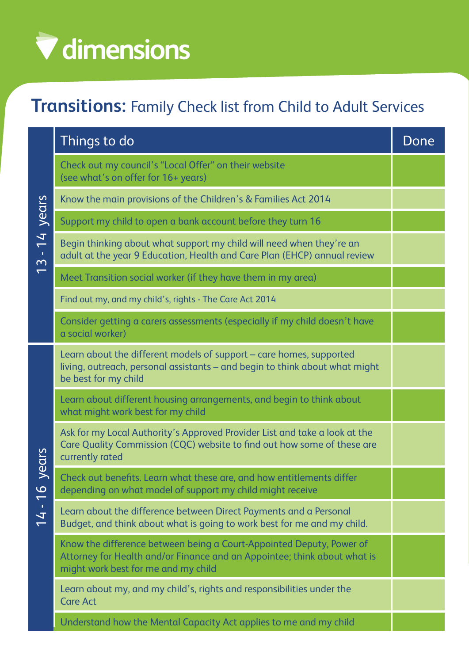## V dimensions

## **Transitions:** Family Check list from Child to Adult Services

| years<br>$13 - 14$ | Things to do                                                                                                                                                                            | Done |
|--------------------|-----------------------------------------------------------------------------------------------------------------------------------------------------------------------------------------|------|
|                    | Check out my council's "Local Offer" on their website<br>(see what's on offer for 16+ years)                                                                                            |      |
|                    | Know the main provisions of the Children's & Families Act 2014                                                                                                                          |      |
|                    | Support my child to open a bank account before they turn 16                                                                                                                             |      |
|                    | Begin thinking about what support my child will need when they're an<br>adult at the year 9 Education, Health and Care Plan (EHCP) annual review                                        |      |
|                    | Meet Transition social worker (if they have them in my area)                                                                                                                            |      |
|                    | Find out my, and my child's, rights - The Care Act 2014                                                                                                                                 |      |
|                    | Consider getting a carers assessments (especially if my child doesn't have<br>a social worker)                                                                                          |      |
| years<br>14 - 16   | Learn about the different models of support - care homes, supported<br>living, outreach, personal assistants - and begin to think about what might<br>be best for my child              |      |
|                    | Learn about different housing arrangements, and begin to think about<br>what might work best for my child                                                                               |      |
|                    | Ask for my Local Authority's Approved Provider List and take a look at the<br>Care Quality Commission (CQC) website to find out how some of these are<br>currently rated                |      |
|                    | Check out benefits. Learn what these are, and how entitlements differ<br>depending on what model of support my child might receive                                                      |      |
|                    | Learn about the difference between Direct Payments and a Personal<br>Budget, and think about what is going to work best for me and my child.                                            |      |
|                    | Know the difference between being a Court-Appointed Deputy, Power of<br>Attorney for Health and/or Finance and an Appointee; think about what is<br>might work best for me and my child |      |
|                    | Learn about my, and my child's, rights and responsibilities under the<br><b>Care Act</b>                                                                                                |      |
|                    | Understand how the Mental Capacity Act applies to me and my child                                                                                                                       |      |